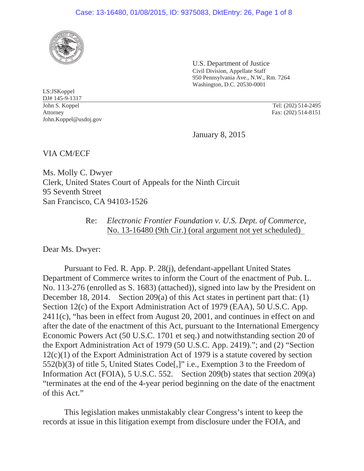## Case: 13-16480, 01/08/2015, ID: 9375083, DktEntry: 26, Page 1 of 8



U.S. Department of Justice Civil Division, Appellate Staff 950 Pennsylvania Ave., N.W., Rm. 7264 Washington, D.C. 20530-0001

LS:JSKoppel DJ# 145-9-1317 John S. Koppel Tel: (202) 514-2495 Attorney John.Koppel@usdoj.gov

Fax: (202) 514-8151

January 8, 2015

VIA CM/ECF

Ms. Molly C. Dwyer Clerk, United States Court of Appeals for the Ninth Circuit 95 Seventh Street San Francisco, CA 94103-1526

> Re: *Electronic Frontier Foundation v. U.S. Dept. of Commerce,*  No. 13-16480 (9th Cir.) (oral argument not yet scheduled)

Dear Ms. Dwyer:

 Pursuant to Fed. R. App. P. 28(j), defendant-appellant United States Department of Commerce writes to inform the Court of the enactment of Pub. L. No. 113-276 (enrolled as S. 1683) (attached)), signed into law by the President on December 18, 2014. Section 209(a) of this Act states in pertinent part that: (1) Section 12(c) of the Export Administration Act of 1979 (EAA), 50 U.S.C. App. 2411(c), "has been in effect from August 20, 2001, and continues in effect on and after the date of the enactment of this Act, pursuant to the International Emergency Economic Powers Act (50 U.S.C. 1701 et seq.) and notwithstanding section 20 of the Export Administration Act of 1979 (50 U.S.C. App. 2419)."; and (2) "Section 12(c)(1) of the Export Administration Act of 1979 is a statute covered by section 552(b)(3) of title 5, United States Code[,]" i.e., Exemption 3 to the Freedom of Information Act (FOIA), 5 U.S.C. 552. Section 209(b) states that section 209(a) "terminates at the end of the 4-year period beginning on the date of the enactment of this Act."

 This legislation makes unmistakably clear Congress's intent to keep the records at issue in this litigation exempt from disclosure under the FOIA, and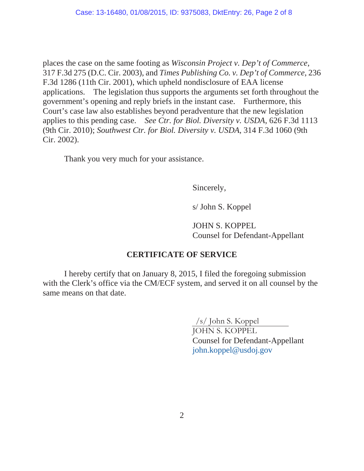places the case on the same footing as *Wisconsin Project v. Dep't of Commerce*, 317 F.3d 275 (D.C. Cir. 2003), and *Times Publishing Co. v. Dep't of Commerce*, 236 F.3d 1286 (11th Cir. 2001), which upheld nondisclosure of EAA license applications. The legislation thus supports the arguments set forth throughout the government's opening and reply briefs in the instant case. Furthermore, this Court's case law also establishes beyond peradventure that the new legislation applies to this pending case. *See Ctr. for Biol. Diversity v. USDA*, 626 F.3d 1113 (9th Cir. 2010); *Southwest Ctr. for Biol. Diversity v. USDA*, 314 F.3d 1060 (9th Cir. 2002).

Thank you very much for your assistance.

Sincerely,

s/ John S. Koppel

 JOHN S. KOPPEL Counsel for Defendant-Appellant

## **CERTIFICATE OF SERVICE**

 I hereby certify that on January 8, 2015, I filed the foregoing submission with the Clerk's office via the CM/ECF system, and served it on all counsel by the same means on that date.

/s/ John S. Koppel

 JOHN S. KOPPEL Counsel for Defendant-Appellant john.koppel@usdoj.gov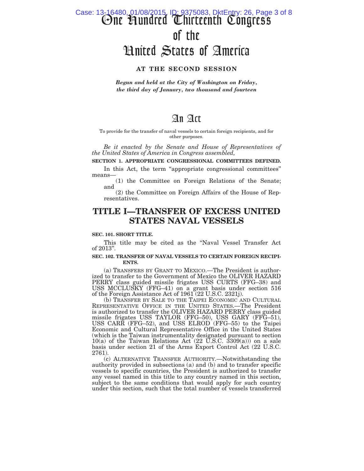# One Hundred Thirteenth Congress of the United States of America Case: 13-16480, 01/08/2015, ID: 9375083, DktEntry: 26, Page 3 of 8

#### **AT THE SECOND SESSION**

*Begun and held at the City of Washington on Friday, the third day of January, two thousand and fourteen* 

## An Act

To provide for the transfer of naval vessels to certain foreign recipients, and for other purposes.

*Be it enacted by the Senate and House of Representatives of the United States of America in Congress assembled,* 

#### **SECTION 1. APPROPRIATE CONGRESSIONAL COMMITTEES DEFINED.**

In this Act, the term "appropriate congressional committees" means—

(1) the Committee on Foreign Relations of the Senate; and

(2) the Committee on Foreign Affairs of the House of Representatives.

## **TITLE I—TRANSFER OF EXCESS UNITED STATES NAVAL VESSELS**

#### **SEC. 101. SHORT TITLE.**

This title may be cited as the ''Naval Vessel Transfer Act of 2013''.

#### **SEC. 102. TRANSFER OF NAVAL VESSELS TO CERTAIN FOREIGN RECIPI-ENTS.**

(a) TRANSFERS BY GRANT TO MEXICO.—The President is authorized to transfer to the Government of Mexico the OLIVER HAZARD PERRY class guided missile frigates USS CURTS (FFG–38) and USS MCCLUSKY (FFG–41) on a grant basis under section 516 of the Foreign Assistance Act of 1961 (22 U.S.C. 2321j).

(b) TRANSFER BY SALE TO THE TAIPEI ECONOMIC AND CULTURAL REPRESENTATIVE OFFICE IN THE UNITED STATES.—The President is authorized to transfer the OLIVER HAZARD PERRY class guided missile frigates USS TAYLOR (FFG–50), USS GARY (FFG–51), USS CARR (FFG–52), and USS ELROD (FFG–55) to the Taipei Economic and Cultural Representative Office in the United States (which is the Taiwan instrumentality designated pursuant to section 10(a) of the Taiwan Relations Act  $(22 \text{ U.S.C. } 3309(a))$  on a sale basis under section 21 of the Arms Export Control Act (22 U.S.C. 2761).

(c) ALTERNATIVE TRANSFER AUTHORITY.—Notwithstanding the authority provided in subsections (a) and (b) and to transfer specific vessels to specific countries, the President is authorized to transfer any vessel named in this title to any country named in this section, subject to the same conditions that would apply for such country under this section, such that the total number of vessels transferred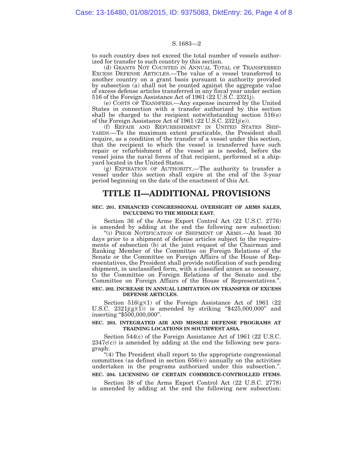to such country does not exceed the total number of vessels authorized for transfer to such country by this section.

(d) GRANTS NOT COUNTED IN ANNUAL TOTAL OF TRANSFERRED EXCESS DEFENSE ARTICLES.—The value of a vessel transferred to another country on a grant basis pursuant to authority provided by subsection (a) shall not be counted against the aggregate value of excess defense articles transferred in any fiscal year under section 516 of the Foreign Assistance Act of 1961 ( $22$  U.S.C. 2321j).

(e) COSTS OF TRANSFERS.—Any expense incurred by the United States in connection with a transfer authorized by this section shall be charged to the recipient notwithstanding section 516(e) of the Foreign Assistance Act of 1961 (22 U.S.C. 2321j(e)).

(f) REPAIR AND REFURBISHMENT IN UNITED STATES SHIP-YARDS.—To the maximum extent practicable, the President shall require, as a condition of the transfer of a vessel under this section, that the recipient to which the vessel is transferred have such repair or refurbishment of the vessel as is needed, before the vessel joins the naval forces of that recipient, performed at a shipyard located in the United States.

(g) EXPIRATION OF AUTHORITY.—The authority to transfer a vessel under this section shall expire at the end of the 3-year period beginning on the date of the enactment of this Act.

## **TITLE II—ADDITIONAL PROVISIONS**

#### **SEC. 201. ENHANCED CONGRESSIONAL OVERSIGHT OF ARMS SALES, INCLUDING TO THE MIDDLE EAST.**

Section 36 of the Arms Export Control Act (22 U.S.C. 2776) is amended by adding at the end the following new subsection:

"(i) PRIOR NOTIFICATION OF SHIPMENT OF ARMS.—At least 30 days prior to a shipment of defense articles subject to the requirements of subsection (b) at the joint request of the Chairman and Ranking Member of the Committee on Foreign Relations of the Senate or the Committee on Foreign Affairs of the House of Representatives, the President shall provide notification of such pending shipment, in unclassified form, with a classified annex as necessary, to the Committee on Foreign Relations of the Senate and the Committee on Foreign Affairs of the House of Representatives.''.

#### **SEC. 202. INCREASE IN ANNUAL LIMITATION ON TRANSFER OF EXCESS DEFENSE ARTICLES.**

Section  $516(g)(1)$  of the Foreign Assistance Act of 1961 (22) U.S.C.  $2321j(g)(1)$  is amended by striking "\$425,000,000" and inserting ''\$500,000,000''.

#### **SEC. 203. INTEGRATED AIR AND MISSILE DEFENSE PROGRAMS AT TRAINING LOCATIONS IN SOUTHWEST ASIA.**

Section 544(c) of the Foreign Assistance Act of 1961 (22 U.S.C.  $2347c(c)$  is amended by adding at the end the following new paragraph:

"(4) The President shall report to the appropriate congressional committees (as defined in section 656(e)) annually on the activities undertaken in the programs authorized under this subsection.''.

#### **SEC. 204. LICENSING OF CERTAIN COMMERCE-CONTROLLED ITEMS.**

Section 38 of the Arms Export Control Act (22 U.S.C. 2778) is amended by adding at the end the following new subsection: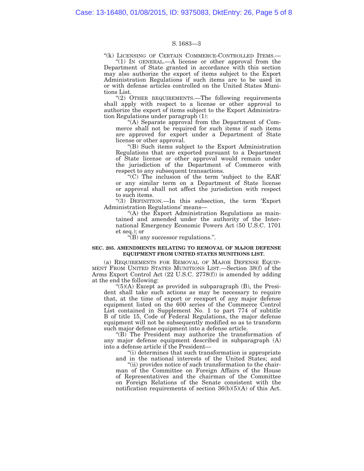"(k) LICENSING OF CERTAIN COMMERCE-CONTROLLED ITEMS.-

"(1) IN GENERAL.—A license or other approval from the Department of State granted in accordance with this section may also authorize the export of items subject to the Export Administration Regulations if such items are to be used in or with defense articles controlled on the United States Munitions List.

"(2) OTHER REQUIREMENTS.—The following requirements shall apply with respect to a license or other approval to authorize the export of items subject to the Export Administration Regulations under paragraph (1):

''(A) Separate approval from the Department of Commerce shall not be required for such items if such items are approved for export under a Department of State license or other approval.

''(B) Such items subject to the Export Administration Regulations that are exported pursuant to a Department of State license or other approval would remain under the jurisdiction of the Department of Commerce with respect to any subsequent transactions.

''(C) The inclusion of the term 'subject to the EAR' or any similar term on a Department of State license or approval shall not affect the jurisdiction with respect to such items.

''(3) DEFINITION.—In this subsection, the term 'Export Administration Regulations' means—

''(A) the Export Administration Regulations as maintained and amended under the authority of the International Emergency Economic Powers Act (50 U.S.C. 1701 et seq.); or

 $\sqrt{\text{B}}$  any successor regulations.".

#### **SEC. 205. AMENDMENTS RELATING TO REMOVAL OF MAJOR DEFENSE EQUIPMENT FROM UNITED STATES MUNITIONS LIST.**

(a) REQUIREMENTS FOR REMOVAL OF MAJOR DEFENSE EQUIP-MENT FROM UNITED STATES MUNITIONS LIST.—Section 38(f) of the Arms Export Control Act (22 U.S.C. 2778(f)) is amended by adding at the end the following:

 $\mathcal{L}(5)(A)$  Except as provided in subparagraph  $(B)$ , the President shall take such actions as may be necessary to require that, at the time of export or reexport of any major defense equipment listed on the 600 series of the Commerce Control List contained in Supplement No. 1 to part 774 of subtitle B of title 15, Code of Federal Regulations, the major defense equipment will not be subsequently modified so as to transform such major defense equipment into a defense article.

''(B) The President may authorize the transformation of any major defense equipment described in subparagraph (A) into a defense article if the President—

''(i) determines that such transformation is appropriate and in the national interests of the United States; and

''(ii) provides notice of such transformation to the chairman of the Committee on Foreign Affairs of the House of Representatives and the chairman of the Committee on Foreign Relations of the Senate consistent with the notification requirements of section 36(b)(5)(A) of this Act.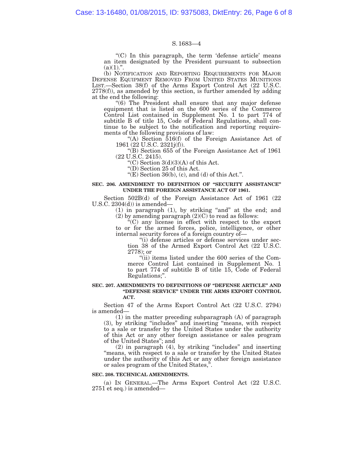''(C) In this paragraph, the term 'defense article' means an item designated by the President pursuant to subsection  $(a)(1).$ ".

(b) NOTIFICATION AND REPORTING REQUIREMENTS FOR MAJOR DEFENSE EQUIPMENT REMOVED FROM UNITED STATES MUNITIONS LIST.—Section 38(f) of the Arms Export Control Act (22 U.S.C.  $2778(f)$ , as amended by this section, is further amended by adding at the end the following:

''(6) The President shall ensure that any major defense equipment that is listed on the 600 series of the Commerce Control List contained in Supplement No. 1 to part 774 of subtitle B of title 15, Code of Federal Regulations, shall continue to be subject to the notification and reporting requirements of the following provisions of law:

''(A) Section 516(f) of the Foreign Assistance Act of 1961 (22 U.S.C. 2321j(f)).

''(B) Section 655 of the Foreign Assistance Act of 1961 (22 U.S.C. 2415).

"(C) Section  $3(d)(3)(A)$  of this Act.

''(D) Section 25 of this Act.

" $(E)$  Section 36(b), (c), and (d) of this Act.".

#### **SEC. 206. AMENDMENT TO DEFINITION OF ''SECURITY ASSISTANCE'' UNDER THE FOREIGN ASSISTANCE ACT OF 1961.**

Section 502B(d) of the Foreign Assistance Act of 1961 (22 U.S.C.  $2304(d)$  is amended—

> $(1)$  in paragraph  $(1)$ , by striking "and" at the end; and (2) by amending paragraph  $(2)(C)$  to read as follows:

''(C) any license in effect with respect to the export to or for the armed forces, police, intelligence, or other internal security forces of a foreign country of—

''(i) defense articles or defense services under section 38 of the Armed Export Control Act (22 U.S.C. 2778); or

''(ii) items listed under the 600 series of the Commerce Control List contained in Supplement No. 1 to part 774 of subtitle B of title 15, Code of Federal Regulations;''.

#### **SEC. 207. AMENDMENTS TO DEFINITIONS OF ''DEFENSE ARTICLE'' AND ''DEFENSE SERVICE'' UNDER THE ARMS EXPORT CONTROL ACT.**

Section 47 of the Arms Export Control Act (22 U.S.C. 2794) is amended—

(1) in the matter preceding subparagraph (A) of paragraph (3), by striking ''includes'' and inserting ''means, with respect to a sale or transfer by the United States under the authority of this Act or any other foreign assistance or sales program of the United States''; and

(2) in paragraph (4), by striking ''includes'' and inserting "means, with respect to a sale or transfer by the United States under the authority of this Act or any other foreign assistance or sales program of the United States,''.

#### **SEC. 208. TECHNICAL AMENDMENTS.**

(a) IN GENERAL.—The Arms Export Control Act (22 U.S.C. 2751 et seq.) is amended—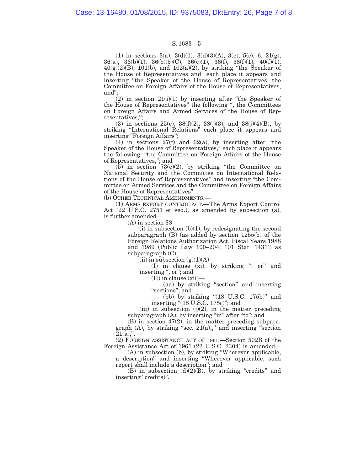(1) in sections 3(a), 3(d)(1), 3(d)(3)(A), 3(e), 5(c), 6, 21(g), 36(a), 36(b)(1), 36(b)(5)(C), 36(c)(1), 36(f), 38(f)(1), 40(f)(1),  $40(g)(2)(B)$ ,  $101(b)$ , and  $102(a)(2)$ , by striking "the Speaker of the House of Representatives and'' each place it appears and inserting ''the Speaker of the House of Representatives, the Committee on Foreign Affairs of the House of Representatives, and'';

 $(2)$  in section  $21(i)(1)$  by inserting after "the Speaker of the House of Representatives'' the following '', the Committees on Foreign Affairs and Armed Services of the House of Representatives,'';

(3) in sections 25(e),  $38(f)(2)$ ,  $38(j)(3)$ , and  $38(j)(4)(B)$ , by striking ''International Relations'' each place it appears and inserting "Foreign Affairs";

(4) in sections  $27(f)$  and  $62(a)$ , by inserting after "the Speaker of the House of Representatives,'' each place it appears the following: ''the Committee on Foreign Affairs of the House of Representatives,''; and

 $(5)$  in section  $73(e)(2)$ , by striking "the Committee on National Security and the Committee on International Relations of the House of Representatives'' and inserting ''the Committee on Armed Services and the Committee on Foreign Affairs of the House of Representatives''.

(b) OTHER TECHNICAL AMENDMENTS.—

(1) ARMS EXPORT CONTROL ACT.—The Arms Export Control Act (22 U.S.C. 2751 et seq.), as amended by subsection (a), is further amended—

(A) in section 38—

 $(i)$  in subsection  $(b)(1)$ , by redesignating the second subparagraph (B) (as added by section 1255(b) of the Foreign Relations Authorization Act, Fiscal Years 1988 and 1989 (Public Law 100–204; 101 Stat. 1431)) as subparagraph (C);

(ii) in subsection  $(g)(1)(A)$ —

(I) in clause (xi), by striking ''; or'' and inserting ", or"; and

(II) in clause (xii)—

(aa) by striking ''section'' and inserting "sections"; and

(bb) by striking " $(18 \text{ U.S.C. } 175\text{b})$ " and inserting "(18 U.S.C. 175c)"; and

(iii) in subsection  $(j)(2)$ , in the matter preceding subparagraph  $(A)$ , by inserting "in" after "to"; and

(B) in section 47(2), in the matter preceding subparagraph  $(A)$ , by striking "sec.  $21(a)$ ," and inserting "section  $21(a)$ ,".

(2) FOREIGN ASSISTANCE ACT OF 1961.—Section 502B of the Foreign Assistance Act of 1961 (22 U.S.C. 2304) is amended—

(A) in subsection (b), by striking ''Wherever applicable, a description'' and inserting ''Wherever applicable, such report shall include a description''; and

(B) in subsection  $(d)(2)(B)$ , by striking "credits" and inserting "credits)".